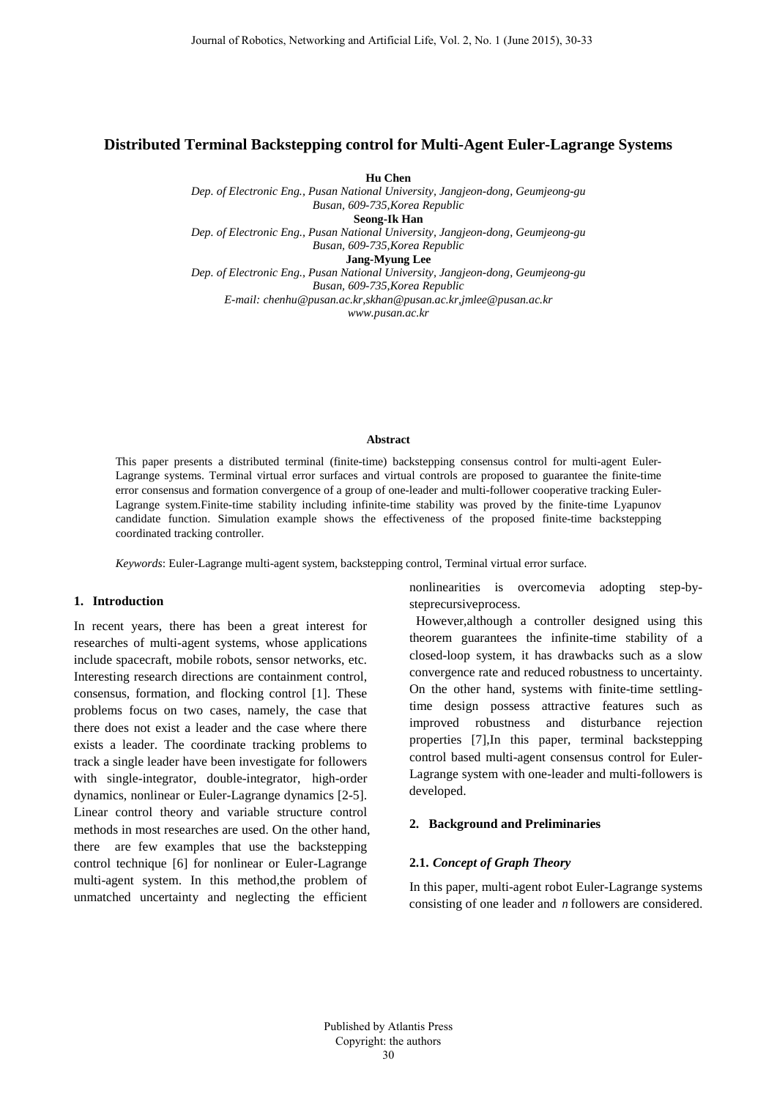# **Distributed Terminal Backstepping control for Multi-Agent Euler-Lagrange Systems**

**Hu Chen**

*Dep. of Electronic Eng., Pusan National University, Jangjeon-dong, Geumjeong-gu Busan, 609-735,Korea Republic* **Seong-Ik Han** *Dep. of Electronic Eng., Pusan National University, Jangjeon-dong, Geumjeong-gu*

*Busan, 609-735,Korea Republic*

**Jang-Myung Lee**

*Dep. of Electronic Eng., Pusan National University, Jangjeon-dong, Geumjeong-gu Busan, 609-735,Korea Republic E-mail: chenhu@pusan.ac.kr,skha[n@pusan.ac.kr,j](mailto:first_author@university.com)mlee@pusan.ac.kr www.pusan.ac.kr*

#### **Abstract**

This paper presents a distributed terminal (finite-time) backstepping consensus control for multi-agent Euler-Lagrange systems. Terminal virtual error surfaces and virtual controls are proposed to guarantee the finite-time error consensus and formation convergence of a group of one-leader and multi-follower cooperative tracking Euler-Lagrange system.Finite-time stability including infinite-time stability was proved by the finite-time Lyapunov candidate function. Simulation example shows the effectiveness of the proposed finite-time backstepping coordinated tracking controller.

*Keywords*: Euler-Lagrange multi-agent system, backstepping control, Terminal virtual error surface.

## **1. Introduction**

In recent years, there has been a great interest for researches of multi-agent systems, whose applications include spacecraft, mobile robots, sensor networks, etc. Interesting research directions are containment control, consensus, formation, and flocking control [1]. These problems focus on two cases, namely, the case that there does not exist a leader and the case where there exists a leader. The coordinate tracking problems to track a single leader have been investigate for followers with single-integrator, double-integrator, high-order dynamics, nonlinear or Euler-Lagrange dynamics [2-5]. Linear control theory and variable structure control methods in most researches are used. On the other hand, there are few examples that use the backstepping control technique [6] for nonlinear or Euler-Lagrange multi-agent system. In this method,the problem of unmatched uncertainty and neglecting the efficient

nonlinearities is overcomevia adopting step-bysteprecursiveprocess.

However,although a controller designed using this theorem guarantees the infinite-time stability of a closed-loop system, it has drawbacks such as a slow convergence rate and reduced robustness to uncertainty. On the other hand, systems with finite-time settlingtime design possess attractive features such as improved robustness and disturbance rejection properties [7],In this paper, terminal backstepping control based multi-agent consensus control for Euler-Lagrange system with one-leader and multi-followers is developed.

### **2. Background and Preliminaries**

### **2.1.** *Concept of Graph Theory*

In this paper, multi-agent robot Euler-Lagrange systems consisting of one leader and *n* followers are considered.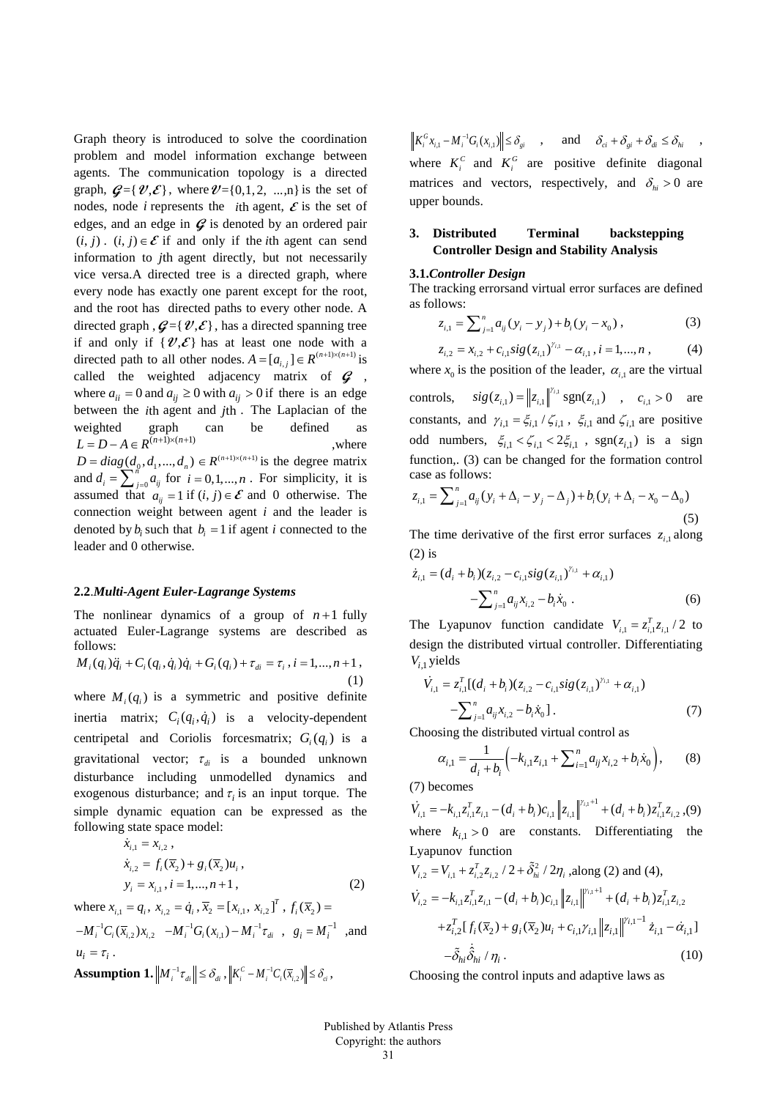Graph theory is introduced to solve the coordination problem and model information exchange between agents. The communication topology is a directed graph,  $\mathcal{G} = \{ \mathcal{V}, \mathcal{E} \}$ , where  $\mathcal{V} = \{0, 1, 2, \dots, n \}$  is the set of nodes, node *i* represents the *i*th agent,  $\mathcal{E}$  is the set of edges, and an edge in  $\mathcal{G}$  is denoted by an ordered pair  $(i, j)$ .  $(i, j) \in \mathcal{E}$  if and only if the *i*th agent can send information to *j*th agent directly, but not necessarily vice versa.A directed tree is a directed graph, where every node has exactly one parent except for the root, and the root has directed paths to every other node. A directed graph  $\mathcal{G} = \{ \mathcal{V}, \mathcal{E} \}$ , has a directed spanning tree if and only if  $\{\mathcal{V}, \mathcal{E}\}$  has at least one node with a directed path to all other nodes.  $A = [a_{i,j}] \in R^{(n+1)\times (n+1)}$  is called the weighted adjacency matrix of  $\boldsymbol{G}$ , where  $a_{ii} = 0$  and  $a_{ii} \ge 0$  with  $a_{ii} > 0$  if there is an edge between the *i*th agent and *j*th . The Laplacian of the weighted graph can be defined as  $L = D - A \in R^{(n+1)\times(n+1)}$ , where  $D = diag(d_0, d_1, ..., d_n) \in R^{(n+1)\times (n+1)}$  is the degree matrix and  $d_i = \sum_{j=0}^{n}$  $d_i = \sum_{j=0}^{n} a_{ij}$  for  $i = 0, 1, ..., n$ . For simplicity, it is assumed that  $a_{ii} = 1$  if  $(i, j) \in \mathcal{E}$  and 0 otherwise. The connection weight between agent *i* and the leader is denoted by  $b_i$  such that  $b_i = 1$  if agent *i* connected to the leader and 0 otherwise.

#### **2.2**.*Multi-Agent Euler-Lagrange Systems*

The nonlinear dynamics of a group of  $n+1$  fully actuated Euler-Lagrange systems are described as follows:

$$
M_i(q_i)\ddot{q}_i + C_i(q_i, \dot{q}_i)\dot{q}_i + G_i(q_i) + \tau_{di} = \tau_i, i = 1, ..., n+1,
$$
\n(1)

where  $M_i(q_i)$  is a symmetric and positive definite inertia matrix;  $C_i(q_i, \dot{q}_i)$  is a velocity-dependent centripetal and Coriolis forcesmatrix;  $G_i(q_i)$  is a gravitational vector;  $\tau_{di}$  is a bounded unknown disturbance including unmodelled dynamics and exogenous disturbance; and  $\tau$  is an input torque. The simple dynamic equation can be expressed as the following state space model: *i i* ,1 ,2 *x x* = ,

$$
x_{i,1} - x_{i,2},
$$
  
\n
$$
\dot{x}_{i,2} = f_i(\overline{x}_2) + g_i(\overline{x}_2)u_i,
$$
  
\n
$$
y_i = x_{i,1}, i = 1,...,n+1,
$$
\n(2)

where  $x_{i,1} = q_i$ ,  $x_{i,2} = \dot{q}_i$ ,  $\overline{x}_2 = [x_{i,1}, x_{i,2}]^T$ ,  $f_i(\overline{x}_2) =$  $-M_i^{-1}C_i(\overline{x}_{i,2})x_{i,2}$   $-M_i^{-1}G_i(x_{i,1})-M_i^{-1}\tau_{di}$ ,  $g_i = M_i^{-1}$ , and  $u_i = \tau_i$ . **Assumption 1.**  $\left\| M_i^{-1} \tau_{di} \right\| \leq \delta_{di}$ ,  $\left\| K_i^C - M_i^{-1} C_i(\overline{x}_{i,2}) \right\| \leq \delta_{ci}$ ,

 $\|K_i^G x_{i,1} - M_i^{-1} G_i (x_{i,1})\| \leq \delta_{gi}$ , and  $\delta_{ci} + \delta_{gi} + \delta_{di} \leq \delta_{hi}$ , where  $K_i^C$  and  $K_i^G$  are positive definite diagonal matrices and vectors, respectively, and  $\delta_{hi} > 0$  are upper bounds.

# **3. Distributed Terminal backstepping Controller Design and Stability Analysis**

#### **3.1.***Controller Design*

The tracking errorsand virtual error surfaces are defined as follows:

$$
z_{i,1} = \sum_{j=1}^{n} a_{ij} (y_i - y_j) + b_i (y_i - x_0), \qquad (3)
$$

$$
z_{i,2} = x_{i,2} + c_{i,1} sig(z_{i,1})^{\gamma_{i,1}} - \alpha_{i,1}, i = 1,...,n , \qquad (4)
$$

where  $x_0$  is the position of the leader,  $\alpha_{i1}$  are the virtual

controls,  $sig(z_{i,1}) = ||z_{i,1}||^{\gamma_{i,1}} sgn(z_{i,1})$ ,  $c_{i,1} > 0$  are constants, and  $\gamma_{i,1} = \xi_{i,1} / \zeta_{i,1}$ ,  $\xi_{i,1}$  and  $\zeta_{i,1}$  are positive odd numbers,  $\xi_{i,1} < \zeta_{i,1} < 2\xi_{i,1}$ , sgn( $z_{i,1}$ ) is a sign function,. (3) can be changed for the formation control case as follows:

$$
z_{i,1} = \sum_{j=1}^{n} a_{ij} (y_i + \Delta_i - y_j - \Delta_j) + b_i (y_i + \Delta_i - x_0 - \Delta_0)
$$
\n(5)

The time derivative of the first error surfaces  $z_{i,j}$  along (2) is

$$
\dot{z}_{i,1} = (d_i + b_i)(z_{i,2} - c_{i,1} sig(z_{i,1})^{\gamma_{i,1}} + \alpha_{i,1}) - \sum_{j=1}^{n} a_{ij} x_{i,2} - b_i \dot{x}_0.
$$
\n(6)

The Lyapunov function candidate  $V_{i,1} = z_{i,1}^T z_{i,1} / 2$  to design the distributed virtual controller. Differentiating *Vi*,1 yields

$$
\dot{V}_{i,1} = z_{i,1}^{T}[(d_i + b_i)(z_{i,2} - c_{i,1}sig(z_{i,1})^{\gamma_{i,1}} + \alpha_{i,1}) - \sum_{j=1}^{n} a_{ij}x_{i,2} - b_i\dot{x}_0].
$$
\n(7)

Choosing the distributed virtual control as

$$
\alpha_{i,1} = \frac{1}{d_i + b_i} \left( -k_{i,1} z_{i,1} + \sum_{i=1}^n a_{ij} x_{i,2} + b_i \dot{x}_0 \right),\tag{8}
$$

(7) becomes

 $\dot{V}_{i,1} = -k_{i,1}z_{i,1}^Tz_{i,1} - (d_i + b_i)c_{i,1}\left\|z_{i,1}\right\|^{y_{i,1}+1} + (d_i + b_i)z_{i,1}^Tz_{i,2}$ ,(9) where  $k_{i,1} > 0$  are constants. Differentiating the Lyapunov function

$$
V_{i,2} = V_{i,1} + z_{i,2}^T z_{i,2} / 2 + \tilde{\delta}_{hi}^2 / 2\eta_i, \text{along (2) and (4)},
$$
  
\n
$$
\dot{V}_{i,2} = -k_{i,1} z_{i,1}^T z_{i,1} - (d_i + b_i) c_{i,1} ||z_{i,1}||^{\gamma_{i,1}+1} + (d_i + b_i) z_{i,1}^T z_{i,2}
$$
  
\n
$$
+ z_{i,2}^T [f_i(\overline{x}_2) + g_i(\overline{x}_2) u_i + c_{i,1} \gamma_{i,1} ||z_{i,1}||^{\gamma_{i,1}-1} \dot{z}_{i,1} - \dot{\alpha}_{i,1}]
$$
  
\n
$$
- \tilde{\delta}_{hi} \dot{\delta}_{hi} / \eta_i.
$$
\n(10)

Choosing the control inputs and adaptive laws as

Published by Atlantis Press Copyright: the authors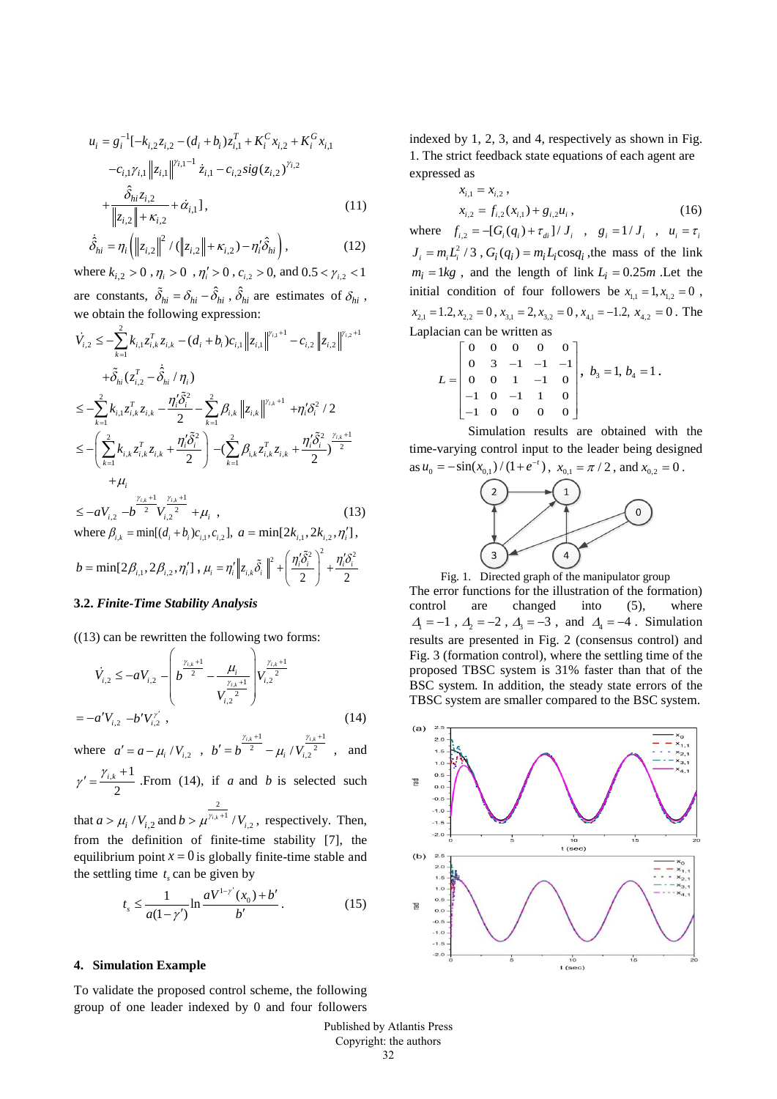$$
u_{i} = g_{i}^{-1}[-k_{i,2}z_{i,2} - (d_{i} + b_{i})z_{i,1}^{T} + K_{i}^{C}x_{i,2} + K_{i}^{G}x_{i,1} -c_{i,1}\gamma_{i,1} ||z_{i,1}||^{\gamma_{i,1}-1} \dot{z}_{i,1} - c_{i,2}sig(z_{i,2})^{\gamma_{i,2}} + \frac{\hat{\delta}_{hi}z_{i,2}}{\|z_{i,2}\| + \kappa_{i,2}} + \dot{\alpha}_{i,1}],
$$
\n(11)

$$
\dot{\hat{\delta}}_{hi} = \eta_i \left( \left\| z_{i,2} \right\|^2 / \left( \left\| z_{i,2} \right\| + \kappa_{i,2} \right) - \eta'_i \hat{\delta}_{hi} \right),\tag{12}
$$

where  $k_{i,2} > 0$ ,  $\eta_i > 0$ ,  $\eta'_i > 0$ ,  $c_{i,2} > 0$ , and  $0.5 < \gamma_{i,2} < 1$ are constants,  $\tilde{\delta}_{hi} = \delta_{hi} - \hat{\delta}_{hi}$ ,  $\hat{\delta}_{hi}$  are estimates of  $\delta_{hi}$ , we obtain the following expression:

$$
\dot{V}_{i,2} \leq -\sum_{k=1}^{2} k_{i,1} z_{i,k}^{T} z_{i,k} - (d_i + b_i) c_{i,1} \|z_{i,1}\|^{y_{i,1}+1} - c_{i,2} \|z_{i,2}\|^{y_{i,2}+1} \n+ \tilde{\delta}_{hi} (z_{i,2}^{T} - \hat{\delta}_{hi} / \eta_i) \n\leq -\sum_{k=1}^{2} k_{i,1} z_{i,k}^{T} z_{i,k} - \frac{\eta_i' \tilde{\delta}_i^2}{2} - \sum_{k=1}^{2} \beta_{i,k} \|z_{i,k}\|^{y_{i,k}+1} + \eta_i' \delta_i^2 / 2 \n\leq -\left(\sum_{k=1}^{2} k_{i,k} z_{i,k}^{T} z_{i,k} + \frac{\eta_i' \tilde{\delta}_i^2}{2}\right) - \left(\sum_{k=1}^{2} \beta_{i,k} z_{i,k}^{T} z_{i,k} + \frac{\eta_i' \tilde{\delta}_i^2}{2}\right)^{\frac{y_{i,k}+1}{2}} \n+ \mu_i \n\leq -aV_{i,2} - b^{\frac{y_{i,k}+1}{2}} V_{i,2}^{\frac{y_{i,k}+1}{2}} + \mu_i,
$$
\n(13)

where  $\beta_{i,k} = \min[(d_i + b_i)c_{i,1}, c_{i,2}], a = \min[2k_{i,1}, 2k_{i,2}, \eta'_i],$ 

$$
b = \min[2\beta_{i,1}, 2\beta_{i,2}, \eta'_i], \mu_i = \eta'_i \left\| z_{i,k} \tilde{\delta}_i \right\|^2 + \left( \frac{\eta'_i \tilde{\delta}_i^2}{2} \right)^2 + \frac{\eta'_i \tilde{\delta}_i^2}{2}
$$

## **3.2.** *Finite-Time Stability Analysis*

 $((13)$  can be rewritten the following two forms:

$$
\dot{V}_{i,2} \leq -aV_{i,2} - \left(b^{\frac{\gamma_{i,k}+1}{2}} - \frac{\mu_i}{V_{i,2}^{\frac{\gamma_{i,k}+1}{2}}}\right) V_{i,2}^{\frac{\gamma_{i,k}+1}{2}}
$$
\n
$$
= -a'V_{i,2} - b'V_{i,2}^{\gamma'} , \qquad (14)
$$

where  $a' = a - \mu_i / V_{i,2}$ ,  $x + 1$   $\gamma_{i,k} + 1$  $b' = b^{\frac{\gamma_{i,k}+1}{2}} - \mu_i / V_{i,2}^{\frac{\gamma_{i,k}}{2}}$  $\mu_{i}$  $+1$   $\gamma_{i\,k}$  +  $y' = b^{-2} - \mu_i / V_{i,2}^{2}$ , and

 $_{,k}$  +1 2  $\gamma' = \frac{\gamma_{i,k} + 1}{2}$ . From (14), if *a* and *b* is selected such 2

that  $a > \mu_i / V_{i,2}$  and  $b > \mu^{\gamma_i}$  $b > \mu^{\gamma_{i,k}+1} / V_{i,2}$ , respectively. Then, from the definition of finite-time stability [7], the equilibrium point  $x = 0$  is globally finite-time stable and the settling time  $t<sub>s</sub>$  can be given by

$$
t_s \le \frac{1}{a(1-\gamma')} \ln \frac{aV^{1-\gamma'}(x_0) + b'}{b'}.
$$
 (15)

## **4. Simulation Example**

To validate the proposed control scheme, the following group of one leader indexed by 0 and four followers indexed by 1, 2, 3, and 4, respectively as shown in Fig. 1. The strict feedback state equations of each agent are expressed as

$$
x_{i,1} = x_{i,2},
$$
  
\n
$$
x_{i,2} = f_{i,2}(x_{i,1}) + g_{i,2}u_i,
$$
\n(16)

where  $f_{i,2} = -[G_i(q_i) + \tau_{di}] / J_i$ ,  $g_i = 1 / J_i$ ,  $u_i = \tau_i$  $J_i = m_i L_i^2 / 3$ ,  $G_i(q_i) = m_i L_i \cos q_i$ , the mass of the link  $m_i = 1kg$ , and the length of link  $L_i = 0.25m$ . Let the initial condition of four followers be  $x_{1,1} = 1, x_{1,2} = 0$ ,  $x_{2,1} = 1.2, x_{2,2} = 0, x_{3,1} = 2, x_{3,2} = 0, x_{4,1} = -1.2, x_{4,2} = 0$ . The Laplacian can be written as

$$
L = \begin{bmatrix} 0 & 0 & 0 & 0 & 0 \\ 0 & 3 & -1 & -1 & -1 \\ 0 & 0 & 1 & -1 & 0 \\ -1 & 0 & -1 & 1 & 0 \\ -1 & 0 & 0 & 0 & 0 \end{bmatrix}, b_3 = 1, b_4 = 1.
$$

Simulation results are obtained with the time-varying control input to the leader being designed as  $u_0 = -\sin(x_{0,1}) / (1 + e^{-t})$ ,  $x_{0,1} = \pi / 2$ , and  $x_{0,2} = 0$ .



Fig. 1. Directed graph of the manipulator group The error functions for the illustration of the formation) control are changed into (5), where  $\Delta = -1$ ,  $\Delta = -2$ ,  $\Delta = -3$ , and  $\Delta = -4$ . Simulation results are presented in Fig. 2 (consensus control) and Fig. 3 (formation control), where the settling time of the proposed TBSC system is 31% faster than that of the BSC system. In addition, the steady state errors of the TBSC system are smaller compared to the BSC system.



Published by Atlantis Press Copyright: the authors 32